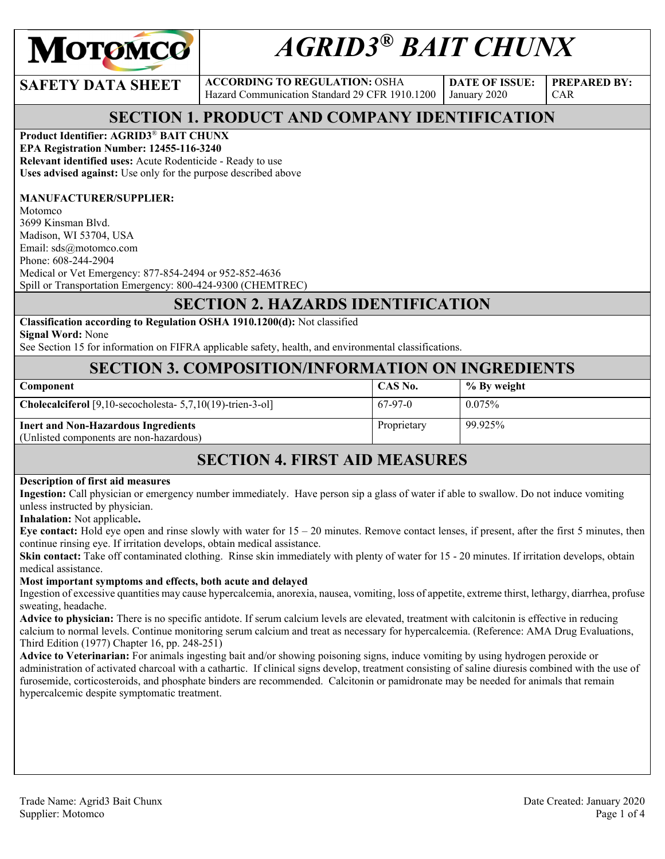

# *AGRID3® BAIT CHUNX*

**SAFETY DATA SHEET** ACCORDING TO REGULATION: OSHA Hazard Communication Standard 29 CFR 1910.1200

**DATE OF ISSUE:**  January 2020

**PREPARED BY:**  CAR

# **SECTION 1. PRODUCT AND COMPANY IDENTIFICATION**

#### **Product Identifier: AGRID3**® **BAIT CHUNX**

**EPA Registration Number: 12455-116-3240 Relevant identified uses:** Acute Rodenticide - Ready to use **Uses advised against:** Use only for the purpose described above

#### **MANUFACTURER/SUPPLIER:**

Motomco 3699 Kinsman Blvd. Madison, WI 53704, USA Email: sds@motomco.com Phone: 608-244-2904 Medical or Vet Emergency: 877-854-2494 or 952-852-4636 Spill or Transportation Emergency: 800-424-9300 (CHEMTREC)

# **SECTION 2. HAZARDS IDENTIFICATION**

#### **Classification according to Regulation OSHA 1910.1200(d):** Not classified

**Signal Word:** None

See Section 15 for information on FIFRA applicable safety, health, and environmental classifications.

#### **SECTION 3. COMPOSITION/INFORMATION ON INGREDIENTS**

| Component                                                                             | CAS No.     | % By weight |
|---------------------------------------------------------------------------------------|-------------|-------------|
| <b>Cholecalciferol</b> [9,10-secocholesta- $5,7,10(19)$ -trien-3-ol]                  | 67-97-0     | $0.075\%$   |
| <b>Inert and Non-Hazardous Ingredients</b><br>(Unlisted components are non-hazardous) | Proprietary | 99.925%     |

# **SECTION 4. FIRST AID MEASURES**

#### **Description of first aid measures**

**Ingestion:** Call physician or emergency number immediately. Have person sip a glass of water if able to swallow. Do not induce vomiting unless instructed by physician.

**Inhalation:** Not applicable**.** 

**Eye contact:** Hold eye open and rinse slowly with water for 15 – 20 minutes. Remove contact lenses, if present, after the first 5 minutes, then continue rinsing eye. If irritation develops, obtain medical assistance.

**Skin contact:** Take off contaminated clothing. Rinse skin immediately with plenty of water for 15 - 20 minutes. If irritation develops, obtain medical assistance.

#### **Most important symptoms and effects, both acute and delayed**

Ingestion of excessive quantities may cause hypercalcemia, anorexia, nausea, vomiting, loss of appetite, extreme thirst, lethargy, diarrhea, profuse sweating, headache.

**Advice to physician:** There is no specific antidote. If serum calcium levels are elevated, treatment with calcitonin is effective in reducing calcium to normal levels. Continue monitoring serum calcium and treat as necessary for hypercalcemia. (Reference: AMA Drug Evaluations, Third Edition (1977) Chapter 16, pp. 248-251)

**Advice to Veterinarian:** For animals ingesting bait and/or showing poisoning signs, induce vomiting by using hydrogen peroxide or administration of activated charcoal with a cathartic. If clinical signs develop, treatment consisting of saline diuresis combined with the use of furosemide, corticosteroids, and phosphate binders are recommended. Calcitonin or pamidronate may be needed for animals that remain hypercalcemic despite symptomatic treatment.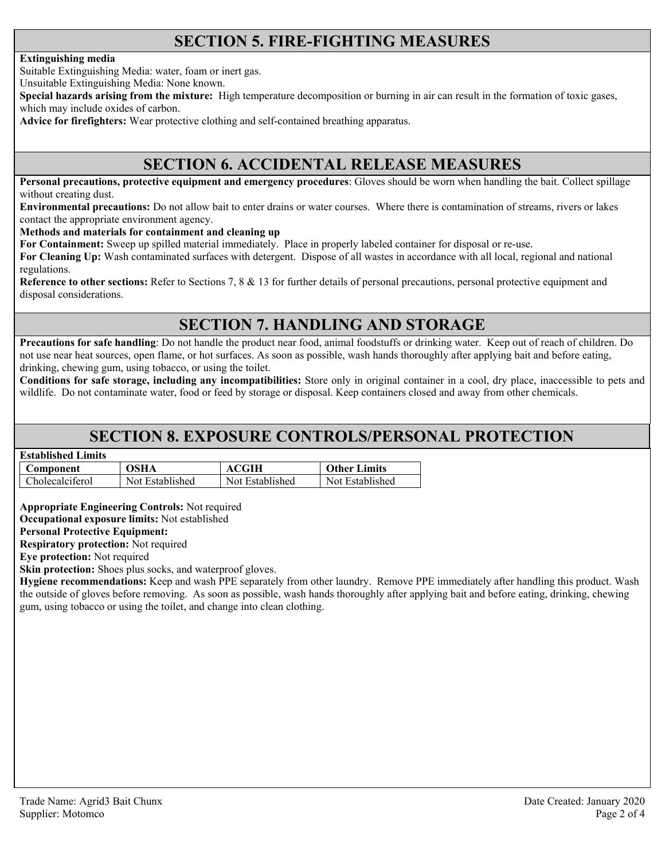# **SECTION 5. FIRE-FIGHTING MEASURES**

#### **Extinguishing media**

Suitable Extinguishing Media: water, foam or inert gas.

Unsuitable Extinguishing Media: None known.

**Special hazards arising from the mixture:** High temperature decomposition or burning in air can result in the formation of toxic gases, which may include oxides of carbon.

**Advice for firefighters:** Wear protective clothing and self-contained breathing apparatus.

#### **SECTION 6. ACCIDENTAL RELEASE MEASURES**

**Personal precautions, protective equipment and emergency procedures**: Gloves should be worn when handling the bait. Collect spillage without creating dust.

**Environmental precautions:** Do not allow bait to enter drains or water courses. Where there is contamination of streams, rivers or lakes contact the appropriate environment agency.

**Methods and materials for containment and cleaning up**

**For Containment:** Sweep up spilled material immediately. Place in properly labeled container for disposal or re-use.

**For Cleaning Up:** Wash contaminated surfaces with detergent. Dispose of all wastes in accordance with all local, regional and national regulations.

**Reference to other sections:** Refer to Sections 7, 8 & 13 for further details of personal precautions, personal protective equipment and disposal considerations.

# **SECTION 7. HANDLING AND STORAGE**

**Precautions for safe handling**: Do not handle the product near food, animal foodstuffs or drinking water. Keep out of reach of children. Do not use near heat sources, open flame, or hot surfaces. As soon as possible, wash hands thoroughly after applying bait and before eating, drinking, chewing gum, using tobacco, or using the toilet.

**Conditions for safe storage, including any incompatibilities:** Store only in original container in a cool, dry place, inaccessible to pets and wildlife. Do not contaminate water, food or feed by storage or disposal. Keep containers closed and away from other chemicals.

#### **SECTION 8. EXPOSURE CONTROLS/PERSONAL PROTECTION**

| <b>Established Limits</b> |                 |                 |                     |
|---------------------------|-----------------|-----------------|---------------------|
| Component                 | OSHA            | ACGIH           | <b>Other Limits</b> |
| Cholecalciferol           | Not Established | Not Established | Not Established     |

**Appropriate Engineering Controls:** Not required

**Occupational exposure limits:** Not established

**Personal Protective Equipment:** 

**Respiratory protection:** Not required

**Eye protection:** Not required

**Skin protection:** Shoes plus socks, and waterproof gloves.

**Hygiene recommendations:** Keep and wash PPE separately from other laundry. Remove PPE immediately after handling this product. Wash the outside of gloves before removing. As soon as possible, wash hands thoroughly after applying bait and before eating, drinking, chewing gum, using tobacco or using the toilet, and change into clean clothing.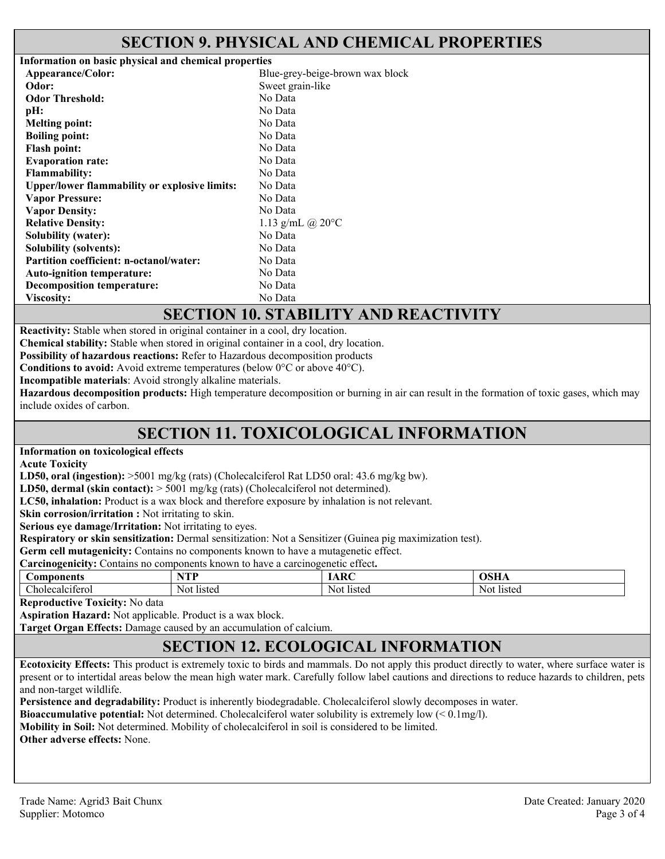#### **SECTION 9. PHYSICAL AND CHEMICAL PROPERTIES**

| Information on basic physical and chemical properties |                                 |  |
|-------------------------------------------------------|---------------------------------|--|
| Appearance/Color:                                     | Blue-grey-beige-brown wax block |  |
| Odor:                                                 | Sweet grain-like                |  |
| <b>Odor Threshold:</b>                                | No Data                         |  |
| pH:                                                   | No Data                         |  |
| <b>Melting point:</b>                                 | No Data                         |  |
| <b>Boiling point:</b>                                 | No Data                         |  |
| <b>Flash point:</b>                                   | No Data                         |  |
| <b>Evaporation rate:</b>                              | No Data                         |  |
| <b>Flammability:</b>                                  | No Data                         |  |
| <b>Upper/lower flammability or explosive limits:</b>  | No Data                         |  |
| <b>Vapor Pressure:</b>                                | No Data                         |  |
| <b>Vapor Density:</b>                                 | No Data                         |  |
| <b>Relative Density:</b>                              | 1.13 g/mL @ $20^{\circ}$ C      |  |
| <b>Solubility (water):</b>                            | No Data                         |  |
| <b>Solubility (solvents):</b>                         | No Data                         |  |
| <b>Partition coefficient: n-octanol/water:</b>        | No Data                         |  |
| <b>Auto-ignition temperature:</b>                     | No Data                         |  |
| <b>Decomposition temperature:</b>                     | No Data                         |  |
| Viscosity:                                            | No Data                         |  |

#### **SECTION 10. STABILITY AND REACTIVITY**

**Reactivity:** Stable when stored in original container in a cool, dry location.

**Chemical stability:** Stable when stored in original container in a cool, dry location.

**Possibility of hazardous reactions:** Refer to Hazardous decomposition products

**Conditions to avoid:** Avoid extreme temperatures (below 0°C or above 40°C).

**Incompatible materials**: Avoid strongly alkaline materials.

**Hazardous decomposition products:** High temperature decomposition or burning in air can result in the formation of toxic gases, which may include oxides of carbon.

# **SECTION 11. TOXICOLOGICAL INFORMATION**

#### **Information on toxicological effects**

**Acute Toxicity** 

**LD50, oral (ingestion):** >5001 mg/kg (rats) (Cholecalciferol Rat LD50 oral: 43.6 mg/kg bw).

**LD50, dermal (skin contact):** > 5001 mg/kg (rats) (Cholecalciferol not determined).

**LC50, inhalation:** Product is a wax block and therefore exposure by inhalation is not relevant.

**Skin corrosion/irritation :** Not irritating to skin.

**Serious eye damage/Irritation:** Not irritating to eyes.

**Respiratory or skin sensitization:** Dermal sensitization: Not a Sensitizer (Guinea pig maximization test).

**Germ cell mutagenicity:** Contains no components known to have a mutagenetic effect.

| $\sim$<br>. .<br>Carcinogenicity:<br>known to<br>components /<br>o have a carcinogenetic effect.<br>Jontains no |            |                    |            |
|-----------------------------------------------------------------------------------------------------------------|------------|--------------------|------------|
| Components                                                                                                      | TTD        | $\mathbf{D}$<br>AN | OSHA       |
| $\cdot$ $\sim$<br>Cholecalciterol                                                                               | Not listed | Not<br>listed      | Not listed |

**Reproductive Toxicity:** No data

**Aspiration Hazard:** Not applicable. Product is a wax block.

**Target Organ Effects:** Damage caused by an accumulation of calcium.

# **SECTION 12. ECOLOGICAL INFORMATION**

**Ecotoxicity Effects:** This product is extremely toxic to birds and mammals. Do not apply this product directly to water, where surface water is present or to intertidal areas below the mean high water mark. Carefully follow label cautions and directions to reduce hazards to children, pets and non-target wildlife.

**Persistence and degradability:** Product is inherently biodegradable. Cholecalciferol slowly decomposes in water.

**Bioaccumulative potential:** Not determined. Cholecalciferol water solubility is extremely low (< 0.1mg/l).

**Mobility in Soil:** Not determined. Mobility of cholecalciferol in soil is considered to be limited.

**Other adverse effects:** None.